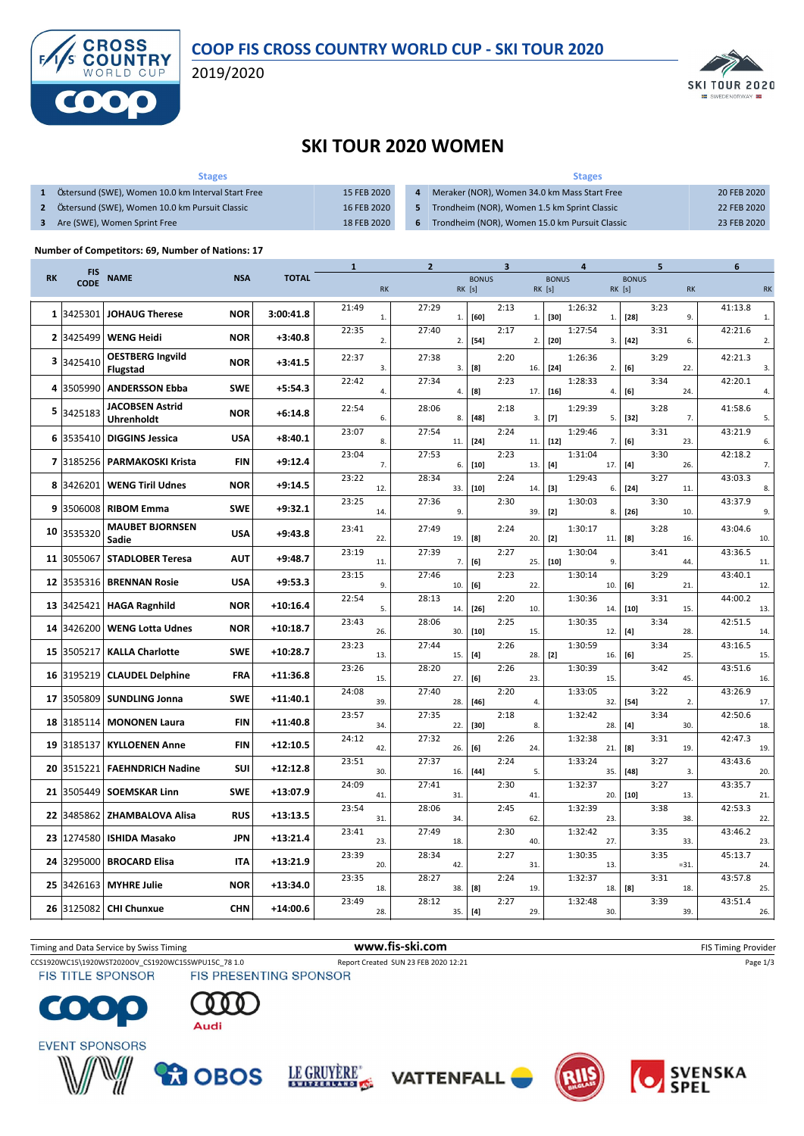

2019/2020



## **SKI TOUR 2020 WOMEN**

| <b>Stages</b>                                      |             | <b>Stages</b>                                    |             |
|----------------------------------------------------|-------------|--------------------------------------------------|-------------|
| Östersund (SWE), Women 10.0 km Interval Start Free | 15 FEB 2020 | Meraker (NOR), Women 34.0 km Mass Start Free     | 20 FEB 2020 |
| Östersund (SWE), Women 10.0 km Pursuit Classic     | 16 FEB 2020 | 5 Trondheim (NOR), Women 1.5 km Sprint Classic   | 22 FEB 2020 |
| Are (SWE), Women Sprint Free                       | 18 FEB 2020 | 6 Trondheim (NOR), Women 15.0 km Pursuit Classic | 23 FEB 2020 |

## **Number of Competitors: 69, Number of Nations: 17**

|           | <b>FIS</b>  |                          |            |              | $\mathbf{1}$ |            | $\overline{2}$ |        |              | 3    |     | 4            |         |            | 5            |      |           | 6       |                |
|-----------|-------------|--------------------------|------------|--------------|--------------|------------|----------------|--------|--------------|------|-----|--------------|---------|------------|--------------|------|-----------|---------|----------------|
| <b>RK</b> | <b>CODE</b> | <b>NAME</b>              | <b>NSA</b> | <b>TOTAL</b> |              |            |                |        | <b>BONUS</b> |      |     | <b>BONUS</b> |         |            | <b>BONUS</b> |      |           |         |                |
|           |             |                          |            |              |              | <b>RK</b>  |                | RK [s] |              |      |     | RK[s]        |         | RK [s]     |              |      | <b>RK</b> |         | <b>RK</b>      |
|           |             |                          |            |              | 21:49        |            | 27:29          |        |              | 2:13 |     |              | 1:26:32 |            |              | 3:23 |           | 41:13.8 |                |
|           | 1 3425301   | <b>JOHAUG Therese</b>    | <b>NOR</b> | 3:00:41.8    |              | ${\bf 1}.$ |                | 1.     | [60]         |      | 1.  | $[30]$       |         | ${\bf 1}.$ | $[28]$       |      | 9.        |         | $\mathbf{1}$   |
|           |             |                          |            |              | 22:35        |            | 27:40          |        |              | 2:17 |     |              | 1:27:54 |            |              | 3:31 |           | 42:21.6 |                |
|           | 2 3425499   | <b>WENG Heidi</b>        | <b>NOR</b> | $+3:40.8$    |              | 2.         |                | 2.     | $[54]$       |      | 2.  | $[20]$       |         | 3.         | $[42]$       |      | 6.        |         | 2.             |
|           |             | <b>OESTBERG Ingvild</b>  |            |              | 22:37        |            | 27:38          |        |              | 2:20 |     |              | 1:26:36 |            |              | 3:29 |           | 42:21.3 |                |
|           | 3 3425410   | <b>Flugstad</b>          | <b>NOR</b> | $+3:41.5$    |              | 3.         |                | 3.     | [8]          |      | 16. | $[24]$       |         | 2.         | [6]          |      | 22.       |         | 3.             |
|           |             |                          |            |              | 22:42        |            | 27:34          |        |              | 2:23 |     |              | 1:28:33 |            |              | 3:34 |           | 42:20.1 |                |
|           | 4 3505990   | <b>ANDERSSON Ebba</b>    | <b>SWE</b> | $+5:54.3$    |              | 4.         |                | 4.     | [8]          |      | 17. | $[16]$       |         | 4.         | [6]          |      | 24.       |         | $\overline{4}$ |
|           |             | <b>JACOBSEN Astrid</b>   |            |              | 22:54        |            | 28:06          |        |              | 2:18 |     |              | 1:29:39 |            |              | 3:28 |           | 41:58.6 |                |
|           | 5 3425183   | Uhrenholdt               | <b>NOR</b> | $+6:14.8$    |              | 6.         |                | 8.     | $[48]$       |      | 3.  | $[7]$        |         | 5.         | $[32]$       |      | 7.        |         | 5.             |
|           |             |                          |            |              | 23:07        |            | 27:54          |        |              | 2:24 |     |              | 1:29:46 |            |              | 3:31 |           | 43:21.9 |                |
|           | 6 3535410   | <b>DIGGINS Jessica</b>   | <b>USA</b> | $+8:40.1$    |              | 8.         |                | 11.    | $[24]$       |      | 11. | $[12]$       |         | 7.         | [6]          |      | 23.       |         | 6.             |
|           |             |                          |            |              | 23:04        |            | 27:53          |        |              | 2:23 |     |              | 1:31:04 |            |              | 3:30 |           | 42:18.2 |                |
|           | 7 3185256   | <b>PARMAKOSKI Krista</b> | <b>FIN</b> | $+9:12.4$    |              | 7.         |                | 6.     | $[10]$       |      | 13. | $[4]$        |         | 17.        | $[4]$        |      | 26.       |         | 7.             |
|           | 8 3426201   | <b>WENG Tiril Udnes</b>  | <b>NOR</b> | $+9:14.5$    | 23:22        |            | 28:34          |        |              | 2:24 |     |              | 1:29:43 |            |              | 3:27 |           | 43:03.3 |                |
|           |             |                          |            |              |              | 12.        |                | 33.    | $[10]$       |      | 14. | [3]          |         | 6.         | $[24]$       |      | 11.       |         | 8.             |
| 9         | 3506008     | <b>RIBOM Emma</b>        | <b>SWE</b> | $+9:32.1$    | 23:25        | 14.        | 27:36          | 9.     |              | 2:30 | 39. | $[2]$        | 1:30:03 | 8.         | $[26]$       | 3:30 | 10.       | 43:37.9 | 9.             |
|           |             |                          |            |              |              |            |                |        |              |      |     |              |         |            |              |      |           |         |                |
|           | 10 3535320  | <b>MAUBET BJORNSEN</b>   | <b>USA</b> | $+9:43.8$    | 23:41        |            | 27:49          |        |              | 2:24 |     |              | 1:30:17 |            |              | 3:28 |           | 43:04.6 |                |
|           |             | Sadie                    |            |              |              | 22.        |                | 19.    | [8]          |      | 20. | $[2]$        |         | 11.        | [8]          |      | 16.       |         | 10.            |
|           | 11 3055067  | <b>STADLOBER Teresa</b>  | <b>AUT</b> | $+9:48.7$    | 23:19        |            | 27:39          |        |              | 2:27 |     |              | 1:30:04 | 9.         |              | 3:41 | 44.       | 43:36.5 |                |
|           |             |                          |            |              |              | 11.        |                | 7.     | [6]          |      | 25. | $[10]$       |         |            |              |      |           |         | 11.            |
|           | 12 3535316  | <b>BRENNAN Rosie</b>     | <b>USA</b> | $+9:53.3$    | 23:15        | 9.         | 27:46          | 10.    | [6]          | 2:23 | 22. |              | 1:30:14 | 10.        | [6]          | 3:29 | 21.       | 43:40.1 | 12.            |
|           |             |                          |            |              | 22:54        |            | 28:13          |        |              | 2:20 |     |              | 1:30:36 |            |              | 3:31 |           | 44:00.2 |                |
|           | 13 3425421  | <b>HAGA Ragnhild</b>     | <b>NOR</b> | $+10:16.4$   |              | 5.         |                | 14.    | $[26]$       |      | 10. |              |         | 14.        | $[10]$       |      | 15.       |         | 13.            |
|           |             |                          |            |              | 23:43        |            | 28:06          |        |              | 2:25 |     |              | 1:30:35 |            |              | 3:34 |           | 42:51.5 |                |
|           | 14 3426200  | <b>WENG Lotta Udnes</b>  | <b>NOR</b> | $+10:18.7$   |              | 26.        |                | 30.    | $[10]$       |      | 15. |              |         | 12.        | $[4]$        |      | 28.       |         | 14.            |
|           |             |                          |            |              | 23:23        |            | 27:44          |        |              | 2:26 |     |              | 1:30:59 |            |              | 3:34 |           | 43:16.5 |                |
|           | 15 3505217  | <b>KALLA Charlotte</b>   | <b>SWE</b> | $+10:28.7$   |              | 13.        |                | 15.    | $[4]$        |      | 28. | $[2]$        |         | 16.        | [6]          |      | 25.       |         | 15.            |
|           | 16 3195219  | <b>CLAUDEL Delphine</b>  | FRA        | $+11:36.8$   | 23:26        |            | 28:20          |        |              | 2:26 |     |              | 1:30:39 |            |              | 3:42 |           | 43:51.6 |                |
|           |             |                          |            |              |              | 15.        |                | 27.    | [6]          |      | 23. |              |         | 15.        |              |      | 45.       |         | 16.            |
|           | 17 3505809  | <b>SUNDLING Jonna</b>    | <b>SWE</b> | $+11:40.1$   | 24:08        |            | 27:40          |        |              | 2:20 |     |              | 1:33:05 |            |              | 3:22 |           | 43:26.9 |                |
|           |             |                          |            |              |              | 39.        |                | 28.    | $[46]$       |      | 4.  |              |         | 32.        | $[54]$       |      | 2.        |         | 17.            |
|           | 18 3185114  | <b>MONONEN Laura</b>     | <b>FIN</b> | $+11:40.8$   | 23:57        | 34.        | 27:35          | 22.    | $[30]$       | 2:18 | 8.  |              | 1:32:42 | 28.        | $[4]$        | 3:34 | 30.       | 42:50.6 | 18.            |
|           |             |                          |            |              | 24:12        |            | 27:32          |        |              | 2:26 |     |              | 1:32:38 |            |              | 3:31 |           | 42:47.3 |                |
|           | 19 3185137  | <b>KYLLOENEN Anne</b>    | <b>FIN</b> | $+12:10.5$   |              | 42.        |                | 26.    | [6]          |      | 24. |              |         | 21.        | [8]          |      | 19.       |         | 19.            |
|           |             |                          |            |              | 23:51        |            | 27:37          |        |              | 2:24 |     |              | 1:33:24 |            |              | 3:27 |           | 43:43.6 |                |
|           | 20 3515221  | <b>FAEHNDRICH Nadine</b> | <b>SUI</b> | $+12:12.8$   |              | 30.        |                | 16.    | $[44]$       |      | 5.  |              |         | 35.        | $[48]$       |      | 3.        |         | 20.            |
|           |             |                          |            |              | 24:09        |            | 27:41          |        |              | 2:30 |     |              | 1:32:37 |            |              | 3:27 |           | 43:35.7 |                |
| 21        | 3505449     | <b>SOEMSKAR Linn</b>     | <b>SWE</b> | $+13:07.9$   |              | 41.        |                | 31.    |              |      | 41. |              |         | 20.        | $[10]$       |      | 13.       |         | 21.            |
|           | 22 3485862  | <b>ZHAMBALOVA Alisa</b>  | <b>RUS</b> | $+13:13.5$   | 23:54        |            | 28:06          |        |              | 2:45 |     |              | 1:32:39 |            |              | 3:38 |           | 42:53.3 |                |
|           |             |                          |            |              |              | 31.        |                | 34.    |              |      | 62. |              |         | 23.        |              |      | 38.       |         | 22.            |
|           | 23 1274580  | <b>ISHIDA Masako</b>     | <b>JPN</b> | $+13:21.4$   | 23:41        |            | 27:49          |        |              | 2:30 |     |              | 1:32:42 |            |              | 3:35 |           | 43:46.2 |                |
|           |             |                          |            |              |              | 23.        |                | 18.    |              |      | 40. |              |         | 27.        |              |      | 33.       |         | 23.            |
|           | 24 3295000  | <b>BROCARD Elisa</b>     | <b>ITA</b> | $+13:21.9$   | 23:39        | 20.        | 28:34          | 42.    |              | 2:27 | 31. |              | 1:30:35 | 13.        |              | 3:35 | $= 31.$   | 45:13.7 | 24.            |
|           |             |                          |            |              | 23:35        |            | 28:27          |        |              | 2:24 |     |              | 1:32:37 |            |              | 3:31 |           | 43:57.8 |                |
| 25        | 3426163     | <b>MYHRE Julie</b>       | <b>NOR</b> | $+13:34.0$   |              | 18.        |                | 38.    | [8]          |      | 19. |              |         | 18.        | [8]          |      | 18.       |         | 25.            |
|           |             |                          |            |              | 23:49        |            | 28:12          |        |              | 2:27 |     |              | 1:32:48 |            |              | 3:39 |           | 43:51.4 |                |
|           | 26 3125082  | <b>CHI Chunxue</b>       | <b>CHN</b> | $+14:00.6$   |              | 28.        |                | 35.    | $[4]$        |      | 29. |              |         | 30.        |              |      | 39.       |         | 26.            |
|           |             |                          |            |              |              |            |                |        |              |      |     |              |         |            |              |      |           |         |                |

CCS1920WC15\1920WST2020OV\_CS1920WC15SWPU15C\_78 1.0 Report Created SUN 23 FEB 2020 12:21 Page 1/3<br>
FIS TITLE SPONSOR FIS PRESENTING SPONSOR Timing and Data Service by Swiss Timing **WWW.fis-Ski.com WWW.fis-Ski.com** FIS Timing Provider















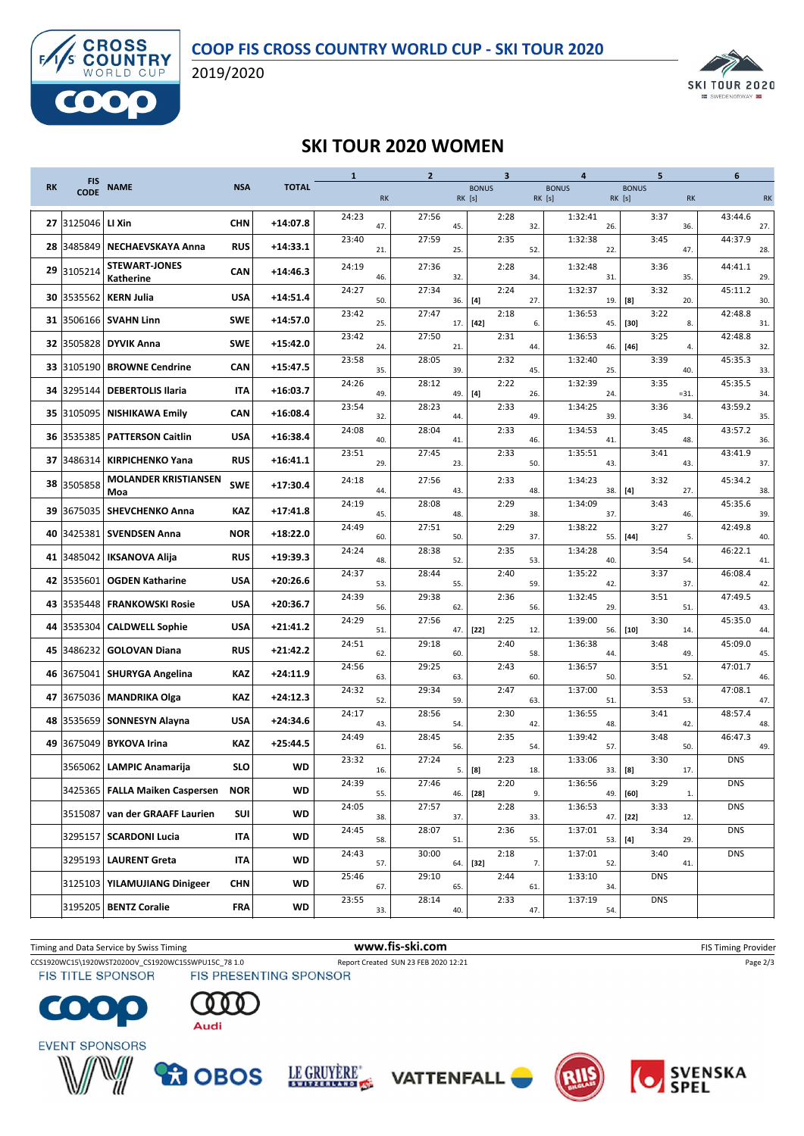



2019/2020



## **SKI TOUR 2020 WOMEN**

|           | <b>FIS</b>  |                                       |            |              | $\mathbf{1}$<br><b>RK</b> |            | $\overline{2}$ |                        |                                                                                                                                                                  | $\overline{\mathbf{3}}$ |            | 4            |            |        | 5                                   |              | 6                     |  |
|-----------|-------------|---------------------------------------|------------|--------------|---------------------------|------------|----------------|------------------------|------------------------------------------------------------------------------------------------------------------------------------------------------------------|-------------------------|------------|--------------|------------|--------|-------------------------------------|--------------|-----------------------|--|
| <b>RK</b> | <b>CODE</b> | <b>NAME</b>                           | <b>NSA</b> | <b>TOTAL</b> |                           |            |                | <b>BONUS</b><br>RK [s] |                                                                                                                                                                  |                         | RK [s]     | <b>BONUS</b> |            |        | <b>BONUS</b><br>RK [s]<br><b>RK</b> |              | <b>RK</b>             |  |
|           |             |                                       |            |              |                           |            |                |                        |                                                                                                                                                                  |                         |            |              |            |        |                                     |              |                       |  |
|           | 27 3125046  | LI Xin                                | <b>CHN</b> | $+14:07.8$   | 24:23                     | 47.        | 27:56          | 45.                    |                                                                                                                                                                  | 2:28                    | 32.        | 1:32:41      | 26.        |        | 3:37                                | 36.          | 43:44.6<br>27.        |  |
|           | 28 3485849  | <b>NECHAEVSKAYA Anna</b>              | <b>RUS</b> | $+14:33.1$   | 23:40                     | 21.        | 27:59          | 25.                    |                                                                                                                                                                  | 2:35                    | 52.        | 1:32:38      | 22.        |        | 3:45                                | 47.          | 44:37.9<br>28.        |  |
|           | 29 3105214  | <b>STEWART-JONES</b>                  | <b>CAN</b> | $+14:46.3$   | 24:19                     |            | 27:36          |                        |                                                                                                                                                                  | 2:28                    | 34.        | 1:32:48      |            |        | 3:36                                |              | 44:41.1               |  |
|           | 30 3535562  | <b>Katherine</b><br><b>KERN Julia</b> | USA        | $+14:51.4$   | 24:27                     | 46.        | 27:34          | 32.                    |                                                                                                                                                                  | 2:24                    | 27.        | 1:32:37      | 31.        |        | 35.<br>3:32<br>20.                  |              | 29.<br>45:11.2        |  |
|           |             | 31 3506166 SVAHN Linn                 | SWE        | $+14:57.0$   | 23:42                     | 50.        | 27:47          | 36.                    | $[4] % \includegraphics[width=0.9\columnwidth]{images/TrDiM1.pdf} \caption{The figure shows the number of parameters in the left and right.} \label{TrDiM2.pdf}$ | 2:18                    |            | 1:36:53      | 19.        | [8]    | 3:22                                |              | 30.<br>42:48.8        |  |
|           | 32 3505828  | <b>DYVIK Anna</b>                     | <b>SWE</b> | $+15:42.0$   | 23:42                     | 25.        | 27:50          | 17.                    | $[42]$                                                                                                                                                           | 2:31                    | 6.         | 1:36:53      | 45.        | $[30]$ | 3:25                                | 8.           | 31.<br>42:48.8        |  |
|           | 33 3105190  | <b>BROWNE Cendrine</b>                | <b>CAN</b> | $+15:47.5$   | 23:58                     | 24.<br>35. | 28:05          | 21.<br>39.             |                                                                                                                                                                  | 2:32                    | 44.<br>45. | 1:32:40      | 46.<br>25. | $[46]$ | 3:39<br>40.                         | 4.           | 32.<br>45:35.3<br>33. |  |
|           | 34 3295144  | <b>DEBERTOLIS Ilaria</b>              | IΤΑ        | $+16:03.7$   | 24:26                     | 49.        | 28:12          |                        |                                                                                                                                                                  | 2:22                    |            | 1:32:39      | 24         |        | 3:35<br>$= 31.$                     |              | 45:35.5<br>34.        |  |
|           | 35 3105095  | <b>NISHIKAWA Emily</b>                | <b>CAN</b> | $+16:08.4$   | 23:54                     | 32.        | 28:23          | 49.<br>44.             | $[4]$                                                                                                                                                            | 2:33                    | 26.<br>49. | 1:34:25      | 39.        |        | 3:36<br>34.                         |              | 43:59.2<br>35.        |  |
|           | 36 3535385  | <b>PATTERSON Caitlin</b>              | USA        | $+16:38.4$   | 24:08                     | 40.        | 28:04          | 41.                    |                                                                                                                                                                  | 2:33                    | 46.        | 1:34:53      | 41         |        | 3:45                                | 48.          | 43:57.2<br>36.        |  |
|           | 37 3486314  | <b>KIRPICHENKO Yana</b>               | <b>RUS</b> | $+16:41.1$   | 23:51                     | 29.        | 27:45          | 23.                    |                                                                                                                                                                  | 2:33                    | 50.        | 1:35:51      | 43.        |        | 3:41<br>43.                         |              | 43:41.9<br>37.        |  |
|           | 38 3505858  | <b>MOLANDER KRISTIANSEN</b>           | <b>SWE</b> | $+17:30.4$   | 24:18                     |            | 27:56          |                        |                                                                                                                                                                  | 2:33                    |            | 1:34:23      |            |        | 3:32                                |              | 45:34.2               |  |
|           |             | Moa<br>39 3675035 SHEVCHENKO Anna     | <b>KAZ</b> | $+17:41.8$   | 24:19                     | 44.        | 28:08          | 43.                    |                                                                                                                                                                  | 2:29                    | 48.        | 1:34:09      | 38.        | [4]    | 3:43                                | 27.          | 38.<br>45:35.6        |  |
|           |             | 40 3425381 SVENDSEN Anna              | <b>NOR</b> | $+18:22.0$   | 24:49                     | 45.        | 27:51          | 48.                    |                                                                                                                                                                  | 2:29                    | 38.        | 1:38:22      | 37.        |        | 46.<br>3:27                         |              | 39.<br>42:49.8        |  |
|           |             | 41 3485042   IKSANOVA Alija           | <b>RUS</b> | $+19:39.3$   | 24:24                     | 60.        | 28:38          | 50.                    |                                                                                                                                                                  | 2:35                    | 37.        | 1:34:28      | 55.        | $[44]$ | 3:54                                | 5.           | 40.<br>46:22.1        |  |
|           | 42 3535601  | <b>OGDEN Katharine</b>                | <b>USA</b> | $+20:26.6$   | 24:37                     | 48.        | 28:44          | 52.                    |                                                                                                                                                                  | 2:40                    | 53.        | 1:35:22      | 40.        |        | 54.<br>3:37                         |              | 41.<br>46:08.4        |  |
|           | 43 3535448  | <b>FRANKOWSKI Rosie</b>               | <b>USA</b> | $+20:36.7$   | 24:39                     | 53.<br>56. | 29:38          | 55.                    |                                                                                                                                                                  | 2:36                    | 59.<br>56. | 1:32:45      | 42.        |        | 3:51<br>51.                         | 37.          | 42.<br>47:49.5        |  |
|           | 44 3535304  | <b>CALDWELL Sophie</b>                | <b>USA</b> | $+21:41.2$   | 24:29                     | 51.        | 27:56          | 62.<br>47.             | $[22]$                                                                                                                                                           | 2:25                    | 12.        | 1:39:00      | 29.<br>56. | $[10]$ | 3:30                                | 14.          | 43.<br>45:35.0<br>44. |  |
|           | 45 3486232  | <b>GOLOVAN Diana</b>                  | <b>RUS</b> | $+21:42.2$   | 24:51                     | 62.        | 29:18          | 60.                    |                                                                                                                                                                  | 2:40                    | 58.        | 1:36:38      | 44         |        | 3:48<br>49.                         |              | 45:09.0<br>45.        |  |
|           |             | 46 3675041 SHURYGA Angelina           | KAZ        | $+24:11.9$   | 24:56                     | 63.        | 29:25          | 63.                    |                                                                                                                                                                  | 2:43                    | 60.        | 1:36:57      | 50.        |        | 3:51                                | 52.          | 47:01.7<br>46.        |  |
|           |             | 47 3675036 MANDRIKA Olga              | KAZ        | $+24:12.3$   | 24:32                     | 52.        | 29:34          | 59.                    |                                                                                                                                                                  | 2:47                    | 63.        | 1:37:00      | 51         |        | 3:53                                | 53.          | 47:08.1<br>47.        |  |
|           |             | 48 3535659 SONNESYN Alayna            | USA        | $+24:34.6$   | 24:17                     | 43.        | 28:56          | 54.                    |                                                                                                                                                                  | 2:30                    | 42.        | 1:36:55      | 48.        |        | 3:41                                | 42.          | 48:57.4<br>48.        |  |
|           | 49 3675049  | <b>BYKOVA Irina</b>                   | <b>KAZ</b> | $+25:44.5$   | 24:49                     | 61.        | 28:45          | 56.                    |                                                                                                                                                                  | 2:35                    | 54.        | 1:39:42      | 57         |        | 3:48                                | 50.          | 46:47.3<br>49.        |  |
|           |             | 3565062 LAMPIC Anamarija              | <b>SLO</b> | <b>WD</b>    | 23:32                     | 16.        | 27:24          | 5.                     | [8]                                                                                                                                                              | 2:23                    | 18.        | 1:33:06      | 33.        | [8]    | 3:30                                | 17.          | <b>DNS</b>            |  |
|           |             | 3425365   FALLA Maiken Caspersen      | <b>NOR</b> | <b>WD</b>    | 24:39                     | 55.        | 27:46          | 46.                    | $[28]$                                                                                                                                                           | 2:20                    | 9.         | 1:36:56      | 49.        | [60]   | 3:29                                | $\mathbf{1}$ | <b>DNS</b>            |  |
|           | 3515087     | van der GRAAFF Laurien                | SUI        | <b>WD</b>    | 24:05                     | 38.        | 27:57          | 37.                    |                                                                                                                                                                  | 2:28                    | 33.        | 1:36:53      | 47.        | $[22]$ | 3:33                                | 12.          | <b>DNS</b>            |  |
|           |             | 3295157   SCARDONI Lucia              | <b>ITA</b> | <b>WD</b>    | 24:45                     | 58.        | 28:07          | 51.                    |                                                                                                                                                                  | 2:36                    | 55.        | 1:37:01      | 53.        | [4]    | 3:34                                | 29.          | <b>DNS</b>            |  |
|           |             | 3295193 LAURENT Greta                 | <b>ITA</b> | <b>WD</b>    | 24:43                     | 57.        | 30:00          | 64.                    | $[32]$                                                                                                                                                           | 2:18                    | 7.         | 1:37:01      | 52.        |        | 3:40                                | 41.          | <b>DNS</b>            |  |
|           |             | 3125103   YILAMUJIANG Dinigeer        | <b>CHN</b> | <b>WD</b>    | 25:46                     | 67.        | 29:10          | 65.                    |                                                                                                                                                                  | 2:44                    | 61.        | 1:33:10      | 34.        |        | <b>DNS</b>                          |              |                       |  |
|           |             | 3195205 BENTZ Coralie                 | FRA        | WD           | 23:55                     | 33.        | 28:14          | 40.                    |                                                                                                                                                                  | 2:33                    | 47.        | 1:37:19      | 54.        |        | <b>DNS</b>                          |              |                       |  |
|           |             |                                       |            |              |                           |            |                |                        |                                                                                                                                                                  |                         |            |              |            |        |                                     |              |                       |  |

CCS1920WC15\1920WST2020OV\_CS1920WC15SWPU15C\_78 1.0 Report Created SUN 23 FEB 2020 12:21 Page 2/3<br>
FIS TITLE SPONSOR FIS PRESENTING SPONSOR Timing and Data Service by Swiss Timing **WWW.fis-Ski.com WWW.fis-Ski.com** FIS Timing Provider